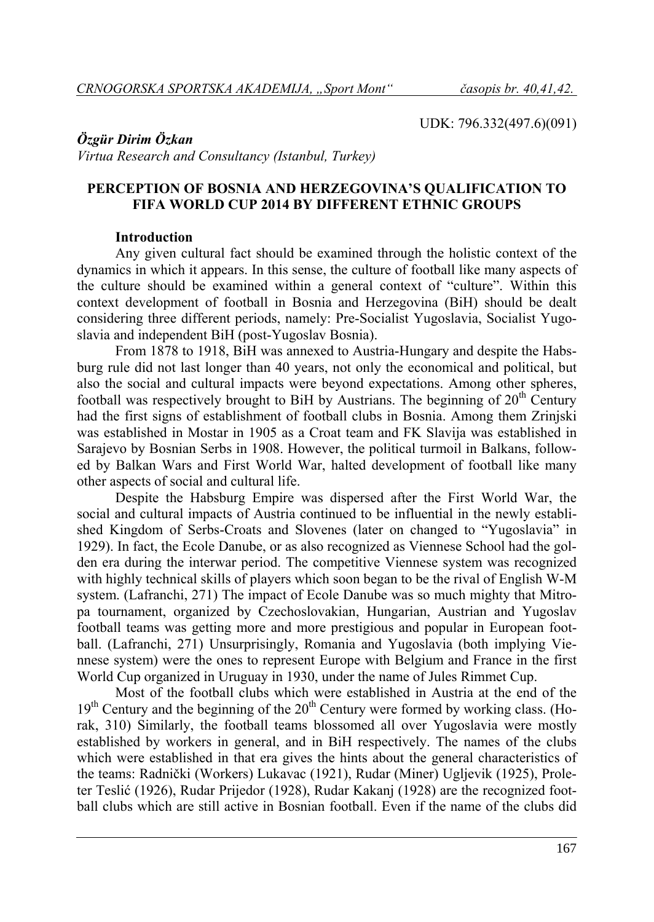UDK: 796.332(497.6)(091)

# *Özgür Dirim Özkan*

*Virtua Research and Consultancy (Istanbul, Turkey)* 

# **PERCEPTION OF BOSNIA AND HERZEGOVINA'S QUALIFICATION TO FIFA WORLD CUP 2014 BY DIFFERENT ETHNIC GROUPS**

### **Introduction**

Any given cultural fact should be examined through the holistic context of the dynamics in which it appears. In this sense, the culture of football like many aspects of the culture should be examined within a general context of "culture". Within this context development of football in Bosnia and Herzegovina (BiH) should be dealt considering three different periods, namely: Pre-Socialist Yugoslavia, Socialist Yugoslavia and independent BiH (post-Yugoslav Bosnia).

From 1878 to 1918, BiH was annexed to Austria-Hungary and despite the Habsburg rule did not last longer than 40 years, not only the economical and political, but also the social and cultural impacts were beyond expectations. Among other spheres, football was respectively brought to BiH by Austrians. The beginning of  $20<sup>th</sup>$  Century had the first signs of establishment of football clubs in Bosnia. Among them Zrinjski was established in Mostar in 1905 as a Croat team and FK Slavija was established in Sarajevo by Bosnian Serbs in 1908. However, the political turmoil in Balkans, followed by Balkan Wars and First World War, halted development of football like many other aspects of social and cultural life.

Despite the Habsburg Empire was dispersed after the First World War, the social and cultural impacts of Austria continued to be influential in the newly established Kingdom of Serbs-Croats and Slovenes (later on changed to "Yugoslavia" in 1929). In fact, the Ecole Danube, or as also recognized as Viennese School had the golden era during the interwar period. The competitive Viennese system was recognized with highly technical skills of players which soon began to be the rival of English W-M system. (Lafranchi, 271) The impact of Ecole Danube was so much mighty that Mitropa tournament, organized by Czechoslovakian, Hungarian, Austrian and Yugoslav football teams was getting more and more prestigious and popular in European football. (Lafranchi, 271) Unsurprisingly, Romania and Yugoslavia (both implying Viennese system) were the ones to represent Europe with Belgium and France in the first World Cup organized in Uruguay in 1930, under the name of Jules Rimmet Cup.

Most of the football clubs which were established in Austria at the end of the 19<sup>th</sup> Century and the beginning of the 20<sup>th</sup> Century were formed by working class. (Horak, 310) Similarly, the football teams blossomed all over Yugoslavia were mostly established by workers in general, and in BiH respectively. The names of the clubs which were established in that era gives the hints about the general characteristics of the teams: Radnički (Workers) Lukavac (1921), Rudar (Miner) Ugljevik (1925), Proleter Teslić (1926), Rudar Prijedor (1928), Rudar Kakanj (1928) are the recognized football clubs which are still active in Bosnian football. Even if the name of the clubs did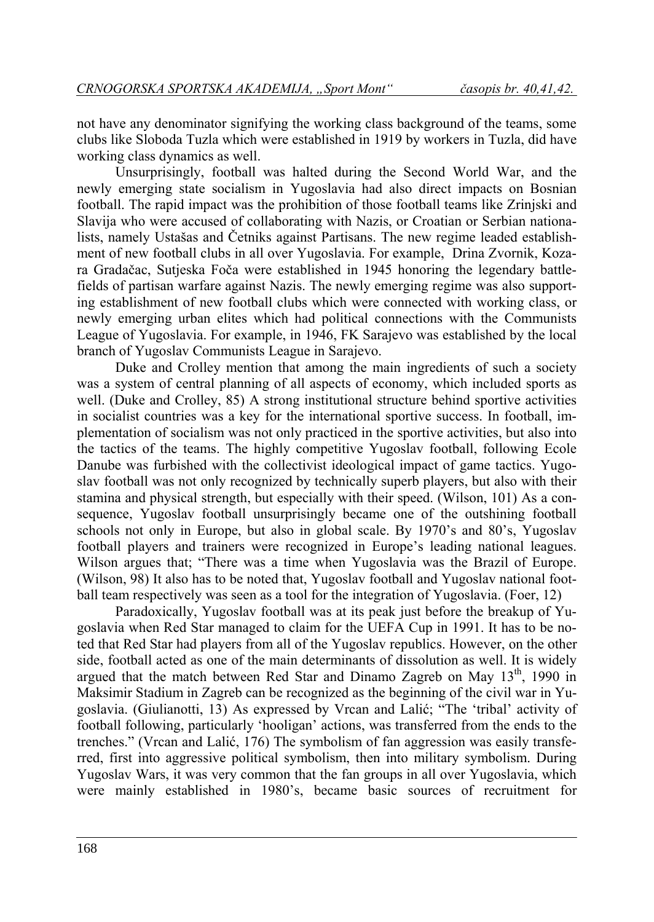not have any denominator signifying the working class background of the teams, some clubs like Sloboda Tuzla which were established in 1919 by workers in Tuzla, did have working class dynamics as well.

Unsurprisingly, football was halted during the Second World War, and the newly emerging state socialism in Yugoslavia had also direct impacts on Bosnian football. The rapid impact was the prohibition of those football teams like Zrinjski and Slavija who were accused of collaborating with Nazis, or Croatian or Serbian nationalists, namely Ustašas and Četniks against Partisans. The new regime leaded establishment of new football clubs in all over Yugoslavia. For example, Drina Zvornik, Kozara Gradačac, Sutjeska Foča were established in 1945 honoring the legendary battlefields of partisan warfare against Nazis. The newly emerging regime was also supporting establishment of new football clubs which were connected with working class, or newly emerging urban elites which had political connections with the Communists League of Yugoslavia. For example, in 1946, FK Sarajevo was established by the local branch of Yugoslav Communists League in Sarajevo.

Duke and Crolley mention that among the main ingredients of such a society was a system of central planning of all aspects of economy, which included sports as well. (Duke and Crolley, 85) A strong institutional structure behind sportive activities in socialist countries was a key for the international sportive success. In football, implementation of socialism was not only practiced in the sportive activities, but also into the tactics of the teams. The highly competitive Yugoslav football, following Ecole Danube was furbished with the collectivist ideological impact of game tactics. Yugoslav football was not only recognized by technically superb players, but also with their stamina and physical strength, but especially with their speed. (Wilson, 101) As a consequence, Yugoslav football unsurprisingly became one of the outshining football schools not only in Europe, but also in global scale. By 1970's and 80's, Yugoslav football players and trainers were recognized in Europe's leading national leagues. Wilson argues that; "There was a time when Yugoslavia was the Brazil of Europe. (Wilson, 98) It also has to be noted that, Yugoslav football and Yugoslav national football team respectively was seen as a tool for the integration of Yugoslavia. (Foer, 12)

Paradoxically, Yugoslav football was at its peak just before the breakup of Yugoslavia when Red Star managed to claim for the UEFA Cup in 1991. It has to be noted that Red Star had players from all of the Yugoslav republics. However, on the other side, football acted as one of the main determinants of dissolution as well. It is widely argued that the match between Red Star and Dinamo Zagreb on May  $13<sup>th</sup>$ , 1990 in Maksimir Stadium in Zagreb can be recognized as the beginning of the civil war in Yugoslavia. (Giulianotti, 13) As expressed by Vrcan and Lalić; "The 'tribal' activity of football following, particularly 'hooligan' actions, was transferred from the ends to the trenches." (Vrcan and Lalić, 176) The symbolism of fan aggression was easily transferred, first into aggressive political symbolism, then into military symbolism. During Yugoslav Wars, it was very common that the fan groups in all over Yugoslavia, which were mainly established in 1980's, became basic sources of recruitment for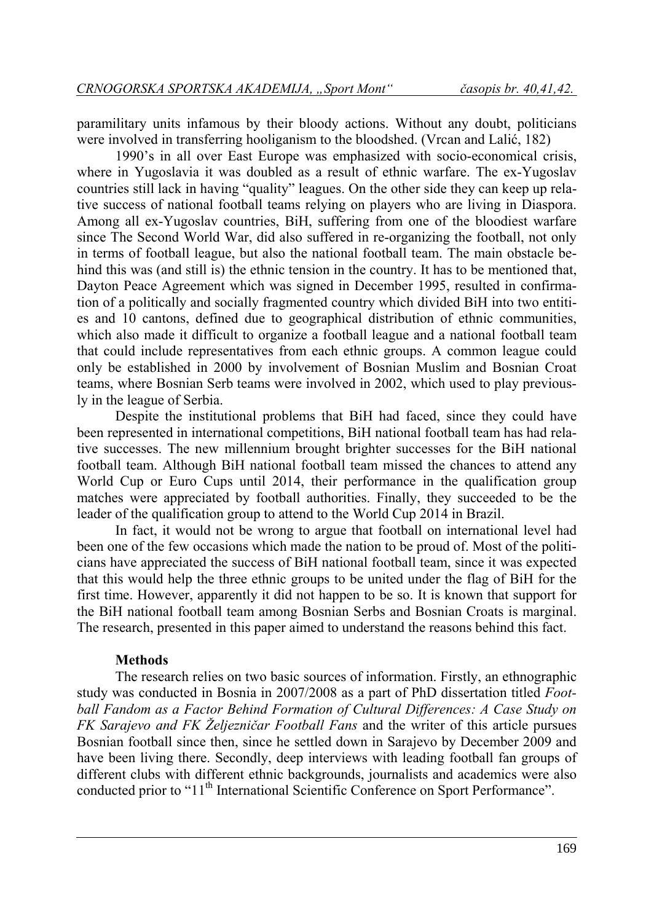paramilitary units infamous by their bloody actions. Without any doubt, politicians were involved in transferring hooliganism to the bloodshed. (Vrcan and Lalić, 182)

1990's in all over East Europe was emphasized with socio-economical crisis, where in Yugoslavia it was doubled as a result of ethnic warfare. The ex-Yugoslav countries still lack in having "quality" leagues. On the other side they can keep up relative success of national football teams relying on players who are living in Diaspora. Among all ex-Yugoslav countries, BiH, suffering from one of the bloodiest warfare since The Second World War, did also suffered in re-organizing the football, not only in terms of football league, but also the national football team. The main obstacle behind this was (and still is) the ethnic tension in the country. It has to be mentioned that, Dayton Peace Agreement which was signed in December 1995, resulted in confirmation of a politically and socially fragmented country which divided BiH into two entities and 10 cantons, defined due to geographical distribution of ethnic communities, which also made it difficult to organize a football league and a national football team that could include representatives from each ethnic groups. A common league could only be established in 2000 by involvement of Bosnian Muslim and Bosnian Croat teams, where Bosnian Serb teams were involved in 2002, which used to play previously in the league of Serbia.

Despite the institutional problems that BiH had faced, since they could have been represented in international competitions, BiH national football team has had relative successes. The new millennium brought brighter successes for the BiH national football team. Although BiH national football team missed the chances to attend any World Cup or Euro Cups until 2014, their performance in the qualification group matches were appreciated by football authorities. Finally, they succeeded to be the leader of the qualification group to attend to the World Cup 2014 in Brazil.

In fact, it would not be wrong to argue that football on international level had been one of the few occasions which made the nation to be proud of. Most of the politicians have appreciated the success of BiH national football team, since it was expected that this would help the three ethnic groups to be united under the flag of BiH for the first time. However, apparently it did not happen to be so. It is known that support for the BiH national football team among Bosnian Serbs and Bosnian Croats is marginal. The research, presented in this paper aimed to understand the reasons behind this fact.

#### **Methods**

The research relies on two basic sources of information. Firstly, an ethnographic study was conducted in Bosnia in 2007/2008 as a part of PhD dissertation titled *Football Fandom as a Factor Behind Formation of Cultural Differences: A Case Study on FK Sarajevo and FK Željezničar Football Fans* and the writer of this article pursues Bosnian football since then, since he settled down in Sarajevo by December 2009 and have been living there. Secondly, deep interviews with leading football fan groups of different clubs with different ethnic backgrounds, journalists and academics were also conducted prior to "11<sup>th</sup> International Scientific Conference on Sport Performance".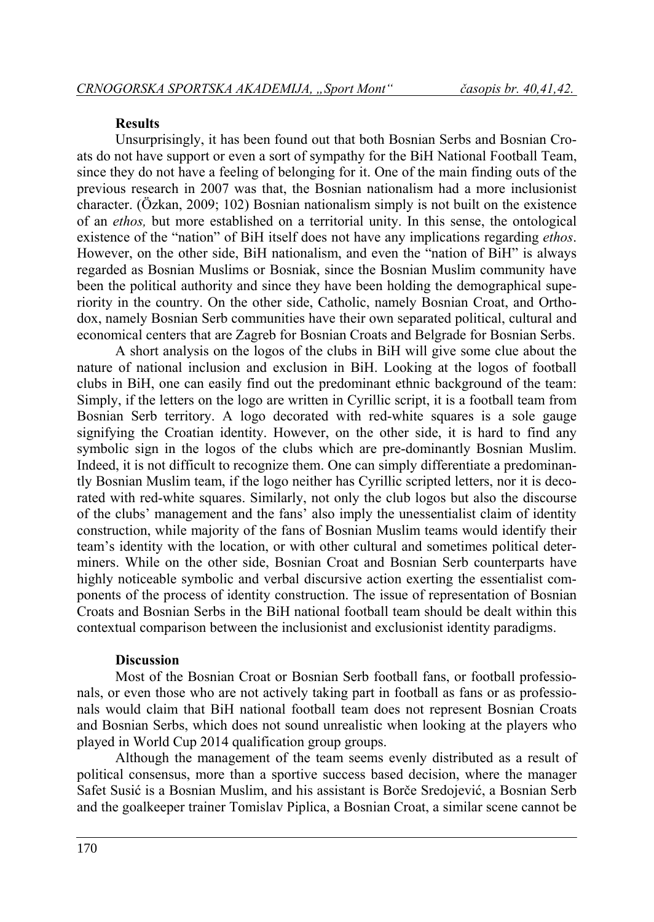#### **Results**

Unsurprisingly, it has been found out that both Bosnian Serbs and Bosnian Croats do not have support or even a sort of sympathy for the BiH National Football Team, since they do not have a feeling of belonging for it. One of the main finding outs of the previous research in 2007 was that, the Bosnian nationalism had a more inclusionist character. (Özkan, 2009; 102) Bosnian nationalism simply is not built on the existence of an *ethos,* but more established on a territorial unity. In this sense, the ontological existence of the "nation" of BiH itself does not have any implications regarding *ethos*. However, on the other side, BiH nationalism, and even the "nation of BiH" is always regarded as Bosnian Muslims or Bosniak, since the Bosnian Muslim community have been the political authority and since they have been holding the demographical superiority in the country. On the other side, Catholic, namely Bosnian Croat, and Orthodox, namely Bosnian Serb communities have their own separated political, cultural and economical centers that are Zagreb for Bosnian Croats and Belgrade for Bosnian Serbs.

A short analysis on the logos of the clubs in BiH will give some clue about the nature of national inclusion and exclusion in BiH. Looking at the logos of football clubs in BiH, one can easily find out the predominant ethnic background of the team: Simply, if the letters on the logo are written in Cyrillic script, it is a football team from Bosnian Serb territory. A logo decorated with red-white squares is a sole gauge signifying the Croatian identity. However, on the other side, it is hard to find any symbolic sign in the logos of the clubs which are pre-dominantly Bosnian Muslim. Indeed, it is not difficult to recognize them. One can simply differentiate a predominantly Bosnian Muslim team, if the logo neither has Cyrillic scripted letters, nor it is decorated with red-white squares. Similarly, not only the club logos but also the discourse of the clubs' management and the fans' also imply the unessentialist claim of identity construction, while majority of the fans of Bosnian Muslim teams would identify their team's identity with the location, or with other cultural and sometimes political determiners. While on the other side, Bosnian Croat and Bosnian Serb counterparts have highly noticeable symbolic and verbal discursive action exerting the essentialist components of the process of identity construction. The issue of representation of Bosnian Croats and Bosnian Serbs in the BiH national football team should be dealt within this contextual comparison between the inclusionist and exclusionist identity paradigms.

### **Discussion**

Most of the Bosnian Croat or Bosnian Serb football fans, or football professionals, or even those who are not actively taking part in football as fans or as professionals would claim that BiH national football team does not represent Bosnian Croats and Bosnian Serbs, which does not sound unrealistic when looking at the players who played in World Cup 2014 qualification group groups.

Although the management of the team seems evenly distributed as a result of political consensus, more than a sportive success based decision, where the manager Safet Susić is a Bosnian Muslim, and his assistant is Borče Sredojević, a Bosnian Serb and the goalkeeper trainer Tomislav Piplica, a Bosnian Croat, a similar scene cannot be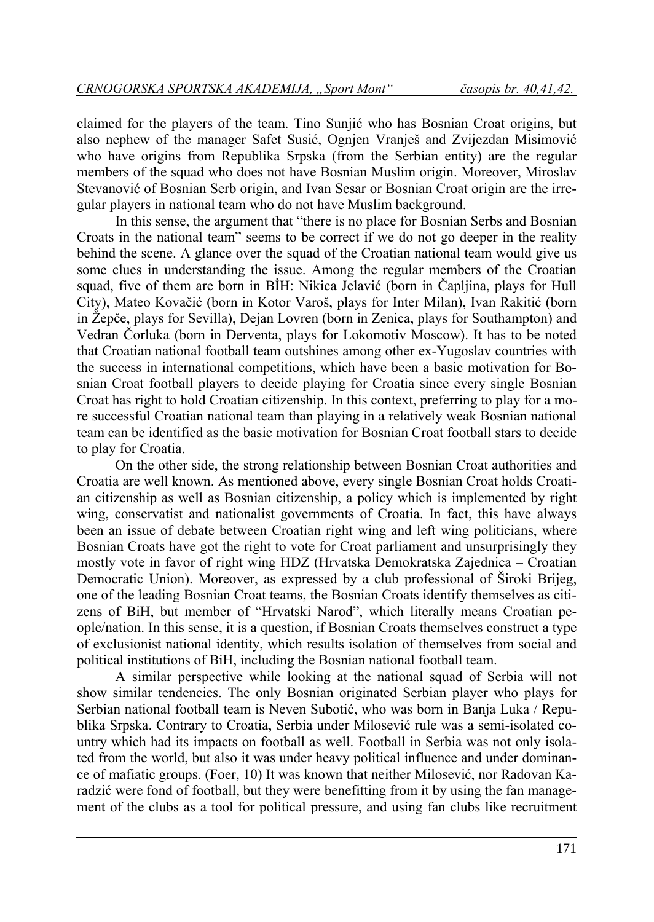claimed for the players of the team. Tino Sunjić who has Bosnian Croat origins, but also nephew of the manager Safet Susić, Ognjen Vranješ and Zvijezdan Misimović who have origins from Republika Srpska (from the Serbian entity) are the regular members of the squad who does not have Bosnian Muslim origin. Moreover, Miroslav Stevanović of Bosnian Serb origin, and Ivan Sesar or Bosnian Croat origin are the irregular players in national team who do not have Muslim background.

In this sense, the argument that "there is no place for Bosnian Serbs and Bosnian Croats in the national team" seems to be correct if we do not go deeper in the reality behind the scene. A glance over the squad of the Croatian national team would give us some clues in understanding the issue. Among the regular members of the Croatian squad, five of them are born in BİH: Nikica Jelavić (born in Čapljina, plays for Hull City), Mateo Kovačić (born in Kotor Varoš, plays for Inter Milan), Ivan Rakitić (born in Žepče, plays for Sevilla), Dejan Lovren (born in Zenica, plays for Southampton) and Vedran Čorluka (born in Derventa, plays for Lokomotiv Moscow). It has to be noted that Croatian national football team outshines among other ex-Yugoslav countries with the success in international competitions, which have been a basic motivation for Bosnian Croat football players to decide playing for Croatia since every single Bosnian Croat has right to hold Croatian citizenship. In this context, preferring to play for a more successful Croatian national team than playing in a relatively weak Bosnian national team can be identified as the basic motivation for Bosnian Croat football stars to decide to play for Croatia.

On the other side, the strong relationship between Bosnian Croat authorities and Croatia are well known. As mentioned above, every single Bosnian Croat holds Croatian citizenship as well as Bosnian citizenship, a policy which is implemented by right wing, conservatist and nationalist governments of Croatia. In fact, this have always been an issue of debate between Croatian right wing and left wing politicians, where Bosnian Croats have got the right to vote for Croat parliament and unsurprisingly they mostly vote in favor of right wing HDZ (Hrvatska Demokratska Zajednica – Croatian Democratic Union). Moreover, as expressed by a club professional of Široki Brijeg, one of the leading Bosnian Croat teams, the Bosnian Croats identify themselves as citizens of BiH, but member of "Hrvatski Narod", which literally means Croatian people/nation. In this sense, it is a question, if Bosnian Croats themselves construct a type of exclusionist national identity, which results isolation of themselves from social and political institutions of BiH, including the Bosnian national football team.

A similar perspective while looking at the national squad of Serbia will not show similar tendencies. The only Bosnian originated Serbian player who plays for Serbian national football team is Neven Subotić, who was born in Banja Luka / Republika Srpska. Contrary to Croatia, Serbia under Milosević rule was a semi-isolated country which had its impacts on football as well. Football in Serbia was not only isolated from the world, but also it was under heavy political influence and under dominance of mafiatic groups. (Foer, 10) It was known that neither Milosević, nor Radovan Karadzić were fond of football, but they were benefitting from it by using the fan management of the clubs as a tool for political pressure, and using fan clubs like recruitment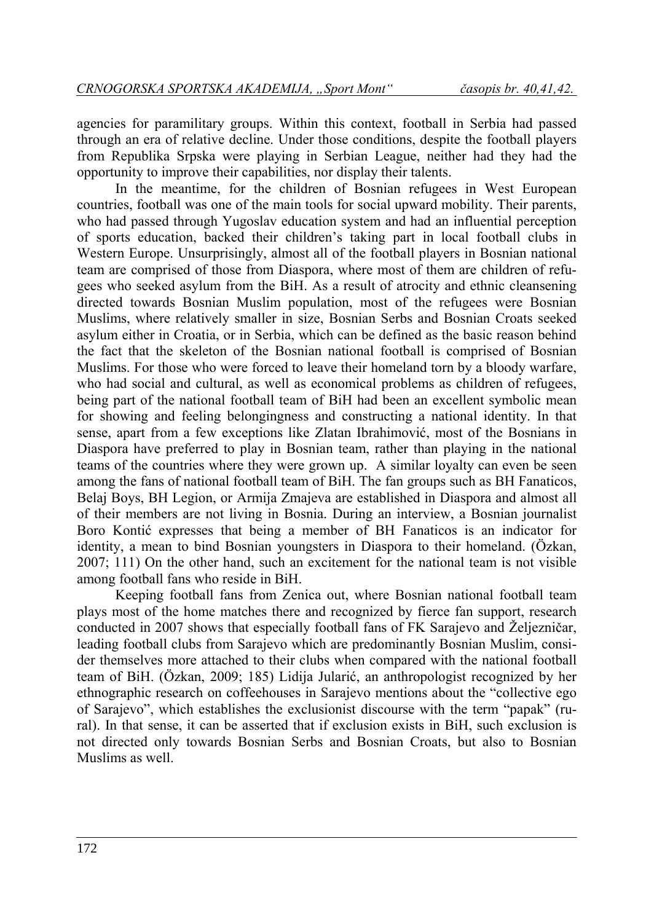agencies for paramilitary groups. Within this context, football in Serbia had passed through an era of relative decline. Under those conditions, despite the football players from Republika Srpska were playing in Serbian League, neither had they had the opportunity to improve their capabilities, nor display their talents.

In the meantime, for the children of Bosnian refugees in West European countries, football was one of the main tools for social upward mobility. Their parents, who had passed through Yugoslav education system and had an influential perception of sports education, backed their children's taking part in local football clubs in Western Europe. Unsurprisingly, almost all of the football players in Bosnian national team are comprised of those from Diaspora, where most of them are children of refugees who seeked asylum from the BiH. As a result of atrocity and ethnic cleansening directed towards Bosnian Muslim population, most of the refugees were Bosnian Muslims, where relatively smaller in size, Bosnian Serbs and Bosnian Croats seeked asylum either in Croatia, or in Serbia, which can be defined as the basic reason behind the fact that the skeleton of the Bosnian national football is comprised of Bosnian Muslims. For those who were forced to leave their homeland torn by a bloody warfare, who had social and cultural, as well as economical problems as children of refugees, being part of the national football team of BiH had been an excellent symbolic mean for showing and feeling belongingness and constructing a national identity. In that sense, apart from a few exceptions like Zlatan Ibrahimović, most of the Bosnians in Diaspora have preferred to play in Bosnian team, rather than playing in the national teams of the countries where they were grown up. A similar loyalty can even be seen among the fans of national football team of BiH. The fan groups such as BH Fanaticos, Belaj Boys, BH Legion, or Armija Zmajeva are established in Diaspora and almost all of their members are not living in Bosnia. During an interview, a Bosnian journalist Boro Kontić expresses that being a member of BH Fanaticos is an indicator for identity, a mean to bind Bosnian youngsters in Diaspora to their homeland. (Özkan, 2007; 111) On the other hand, such an excitement for the national team is not visible among football fans who reside in BiH.

Keeping football fans from Zenica out, where Bosnian national football team plays most of the home matches there and recognized by fierce fan support, research conducted in 2007 shows that especially football fans of FK Sarajevo and Željezničar, leading football clubs from Sarajevo which are predominantly Bosnian Muslim, consider themselves more attached to their clubs when compared with the national football team of BiH. (Özkan, 2009; 185) Lidija Jularić, an anthropologist recognized by her ethnographic research on coffeehouses in Sarajevo mentions about the "collective ego of Sarajevo", which establishes the exclusionist discourse with the term "papak" (rural). In that sense, it can be asserted that if exclusion exists in BiH, such exclusion is not directed only towards Bosnian Serbs and Bosnian Croats, but also to Bosnian Muslims as well.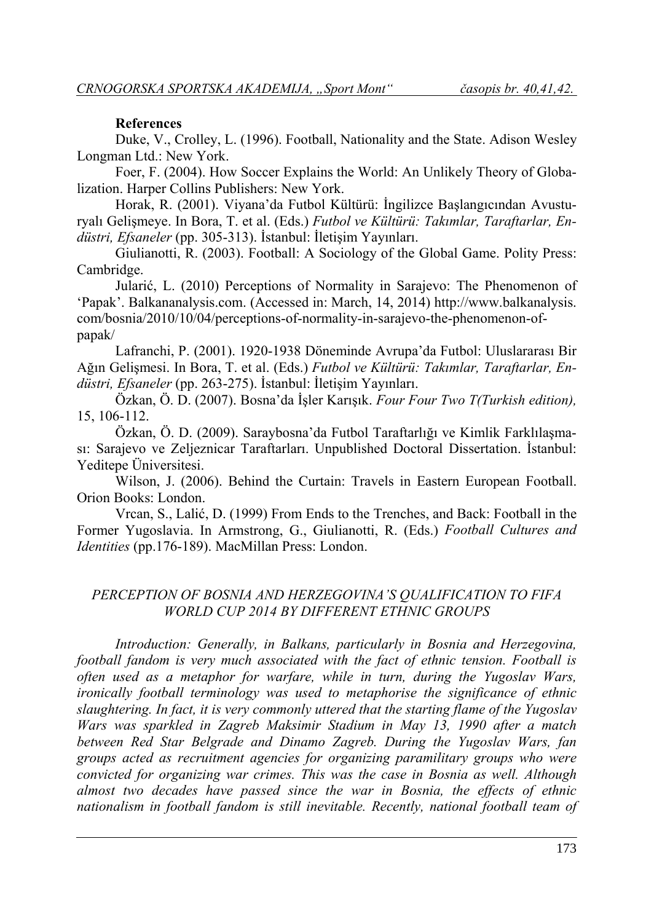#### **References**

Duke, V., Crolley, L. (1996). Football, Nationality and the State. Adison Wesley Longman Ltd.: New York.

Foer, F. (2004). How Soccer Explains the World: An Unlikely Theory of Globalization. Harper Collins Publishers: New York.

Horak, R. (2001). Viyana'da Futbol Kültürü: İngilizce Başlangıcından Avusturyalı Gelişmeye. In Bora, T. et al. (Eds.) *Futbol ve Kültürü: Takımlar, Taraftarlar, Endüstri, Efsaneler* (pp. 305-313). İstanbul: İletişim Yayınları.

Giulianotti, R. (2003). Football: A Sociology of the Global Game. Polity Press: Cambridge.

Jularić, L. (2010) Perceptions of Normality in Sarajevo: The Phenomenon of 'Papak'. Balkananalysis.com. (Accessed in: March, 14, 2014) http://www.balkanalysis. com/bosnia/2010/10/04/perceptions-of-normality-in-sarajevo-the-phenomenon-ofpapak/

Lafranchi, P. (2001). 1920-1938 Döneminde Avrupa'da Futbol: Uluslararası Bir Ağın Gelişmesi. In Bora, T. et al. (Eds.) *Futbol ve Kültürü: Takımlar, Taraftarlar, Endüstri, Efsaneler* (pp. 263-275). İstanbul: İletişim Yayınları.

Özkan, Ö. D. (2007). Bosna'da İşler Karışık. *Four Four Two T(Turkish edition),*  15, 106-112.

Özkan, Ö. D. (2009). Saraybosna'da Futbol Taraftarlığı ve Kimlik Farklılaşması: Sarajevo ve Zeljeznicar Taraftarları. Unpublished Doctoral Dissertation. İstanbul: Yeditepe Üniversitesi.

Wilson, J. (2006). Behind the Curtain: Travels in Eastern European Football. Orion Books: London.

Vrcan, S., Lalić, D. (1999) From Ends to the Trenches, and Back: Football in the Former Yugoslavia. In Armstrong, G., Giulianotti, R. (Eds.) *Football Cultures and Identities* (pp.176-189). MacMillan Press: London.

# *PERCEPTION OF BOSNIA AND HERZEGOVINA'S QUALIFICATION TO FIFA WORLD CUP 2014 BY DIFFERENT ETHNIC GROUPS*

*Introduction: Generally, in Balkans, particularly in Bosnia and Herzegovina, football fandom is very much associated with the fact of ethnic tension. Football is often used as a metaphor for warfare, while in turn, during the Yugoslav Wars, ironically football terminology was used to metaphorise the significance of ethnic slaughtering. In fact, it is very commonly uttered that the starting flame of the Yugoslav Wars was sparkled in Zagreb Maksimir Stadium in May 13, 1990 after a match between Red Star Belgrade and Dinamo Zagreb. During the Yugoslav Wars, fan groups acted as recruitment agencies for organizing paramilitary groups who were convicted for organizing war crimes. This was the case in Bosnia as well. Although almost two decades have passed since the war in Bosnia, the effects of ethnic nationalism in football fandom is still inevitable. Recently, national football team of*